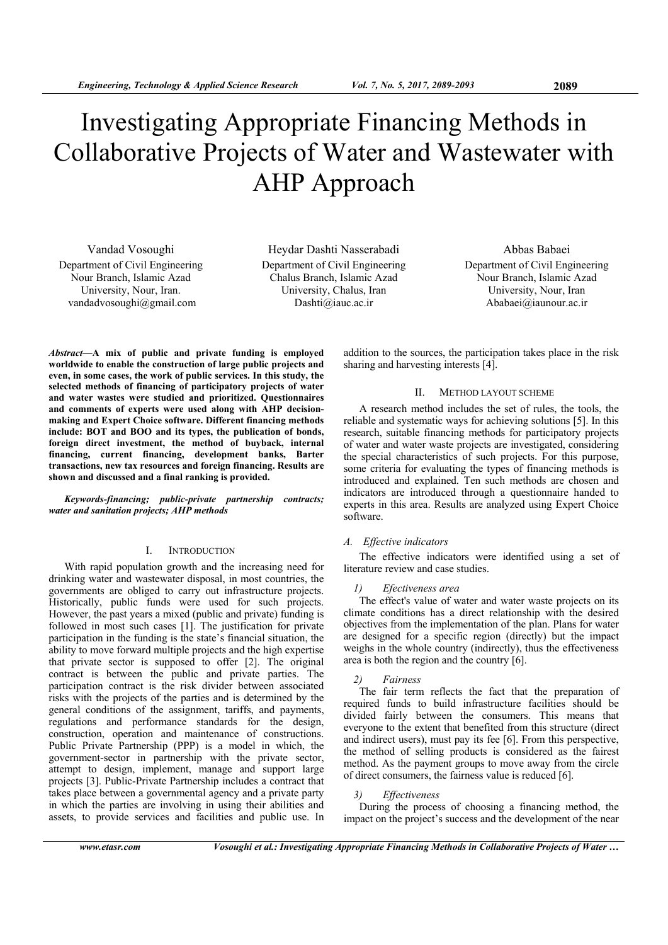# Investigating Appropriate Financing Methods in Collaborative Projects of Water and Wastewater with AHP Approach

Vandad Vosoughi Department of Civil Engineering Nour Branch, Islamic Azad University, Nour, Iran. vandadvosoughi@gmail.com

Heydar Dashti Nasserabadi Department of Civil Engineering Chalus Branch, Islamic Azad University, Chalus, Iran Dashti@iauc.ac.ir

Abbas Babaei Department of Civil Engineering Nour Branch, Islamic Azad University, Nour, Iran Ababaei@iaunour.ac.ir

*Abstract***—A mix of public and private funding is employed worldwide to enable the construction of large public projects and even, in some cases, the work of public services. In this study, the selected methods of financing of participatory projects of water and water wastes were studied and prioritized. Questionnaires and comments of experts were used along with AHP decisionmaking and Expert Choice software. Different financing methods include: BOT and BOO and its types, the publication of bonds, foreign direct investment, the method of buyback, internal financing, current financing, development banks, Barter transactions, new tax resources and foreign financing. Results are shown and discussed and a final ranking is provided.** 

*Keywords-financing; public-private partnership contracts; water and sanitation projects; AHP methods* 

# I. INTRODUCTION

With rapid population growth and the increasing need for drinking water and wastewater disposal, in most countries, the governments are obliged to carry out infrastructure projects. Historically, public funds were used for such projects. However, the past years a mixed (public and private) funding is followed in most such cases [1]. The justification for private participation in the funding is the state's financial situation, the ability to move forward multiple projects and the high expertise that private sector is supposed to offer [2]. The original contract is between the public and private parties. The participation contract is the risk divider between associated risks with the projects of the parties and is determined by the general conditions of the assignment, tariffs, and payments, regulations and performance standards for the design, construction, operation and maintenance of constructions. Public Private Partnership (PPP) is a model in which, the government-sector in partnership with the private sector, attempt to design, implement, manage and support large projects [3]. Public-Private Partnership includes a contract that takes place between a governmental agency and a private party in which the parties are involving in using their abilities and assets, to provide services and facilities and public use. In

addition to the sources, the participation takes place in the risk sharing and harvesting interests [4].

#### II. METHOD LAYOUT SCHEME

A research method includes the set of rules, the tools, the reliable and systematic ways for achieving solutions [5]. In this research, suitable financing methods for participatory projects of water and water waste projects are investigated, considering the special characteristics of such projects. For this purpose, some criteria for evaluating the types of financing methods is introduced and explained. Ten such methods are chosen and indicators are introduced through a questionnaire handed to experts in this area. Results are analyzed using Expert Choice software.

#### *A. Effective indicators*

The effective indicators were identified using a set of literature review and case studies.

### *1) Efectiveness area*

The effect's value of water and water waste projects on its climate conditions has a direct relationship with the desired objectives from the implementation of the plan. Plans for water are designed for a specific region (directly) but the impact weighs in the whole country (indirectly), thus the effectiveness area is both the region and the country [6].

#### *2) Fairness*

The fair term reflects the fact that the preparation of required funds to build infrastructure facilities should be divided fairly between the consumers. This means that everyone to the extent that benefited from this structure (direct and indirect users), must pay its fee [6]. From this perspective, the method of selling products is considered as the fairest method. As the payment groups to move away from the circle of direct consumers, the fairness value is reduced [6].

#### *3) Effectiveness*

During the process of choosing a financing method, the impact on the project's success and the development of the near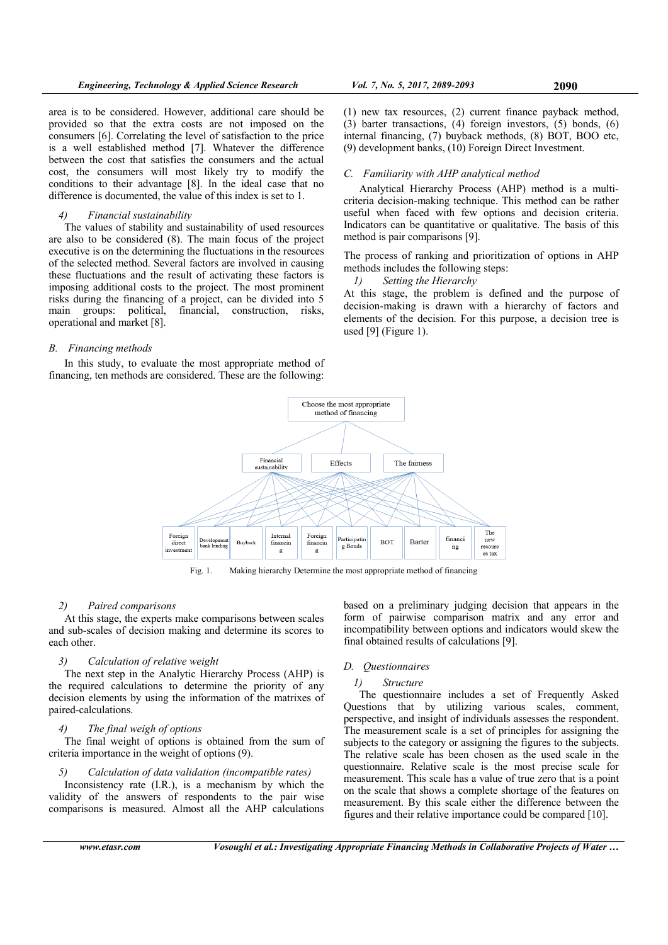area is to be considered. However, additional care should be provided so that the extra costs are not imposed on the consumers [6]. Correlating the level of satisfaction to the price is a well established method [7]. Whatever the difference between the cost that satisfies the consumers and the actual cost, the consumers will most likely try to modify the conditions to their advantage [8]. In the ideal case that no difference is documented, the value of this index is set to 1.

## *4) Financial sustainability*

The values of stability and sustainability of used resources are also to be considered (8). The main focus of the project executive is on the determining the fluctuations in the resources of the selected method. Several factors are involved in causing these fluctuations and the result of activating these factors is imposing additional costs to the project. The most prominent risks during the financing of a project, can be divided into 5 main groups: political, financial, construction, risks, operational and market [8].

# *B. Financing methods*

In this study, to evaluate the most appropriate method of financing, ten methods are considered. These are the following:

(1) new tax resources, (2) current finance payback method, (3) barter transactions, (4) foreign investors, (5) bonds, (6) internal financing, (7) buyback methods, (8) BOT, BOO etc, (9) development banks, (10) Foreign Direct Investment.

# *C. Familiarity with AHP analytical method*

Analytical Hierarchy Process (AHP) method is a multicriteria decision-making technique. This method can be rather useful when faced with few options and decision criteria. Indicators can be quantitative or qualitative. The basis of this method is pair comparisons [9].

The process of ranking and prioritization of options in AHP methods includes the following steps:

*1) Setting the Hierarchy*

At this stage, the problem is defined and the purpose of decision-making is drawn with a hierarchy of factors and elements of the decision. For this purpose, a decision tree is used [9] (Figure 1).



Fig. 1. Making hierarchy Determine the most appropriate method of financing

## *2) Paired comparisons*

At this stage, the experts make comparisons between scales and sub-scales of decision making and determine its scores to each other.

# *3) Calculation of relative weight*

The next step in the Analytic Hierarchy Process (AHP) is the required calculations to determine the priority of any decision elements by using the information of the matrixes of paired-calculations.

## *4) The final weigh of options*

The final weight of options is obtained from the sum of criteria importance in the weight of options (9).

# *5) Calculation of data validation (incompatible rates)*

Inconsistency rate (I.R.), is a mechanism by which the validity of the answers of respondents to the pair wise comparisons is measured. Almost all the AHP calculations based on a preliminary judging decision that appears in the form of pairwise comparison matrix and any error and incompatibility between options and indicators would skew the final obtained results of calculations [9].

#### *D. Questionnaires*

# *1) Structure*

The questionnaire includes a set of Frequently Asked Questions that by utilizing various scales, comment, perspective, and insight of individuals assesses the respondent. The measurement scale is a set of principles for assigning the subjects to the category or assigning the figures to the subjects. The relative scale has been chosen as the used scale in the questionnaire. Relative scale is the most precise scale for measurement. This scale has a value of true zero that is a point on the scale that shows a complete shortage of the features on measurement. By this scale either the difference between the figures and their relative importance could be compared [10].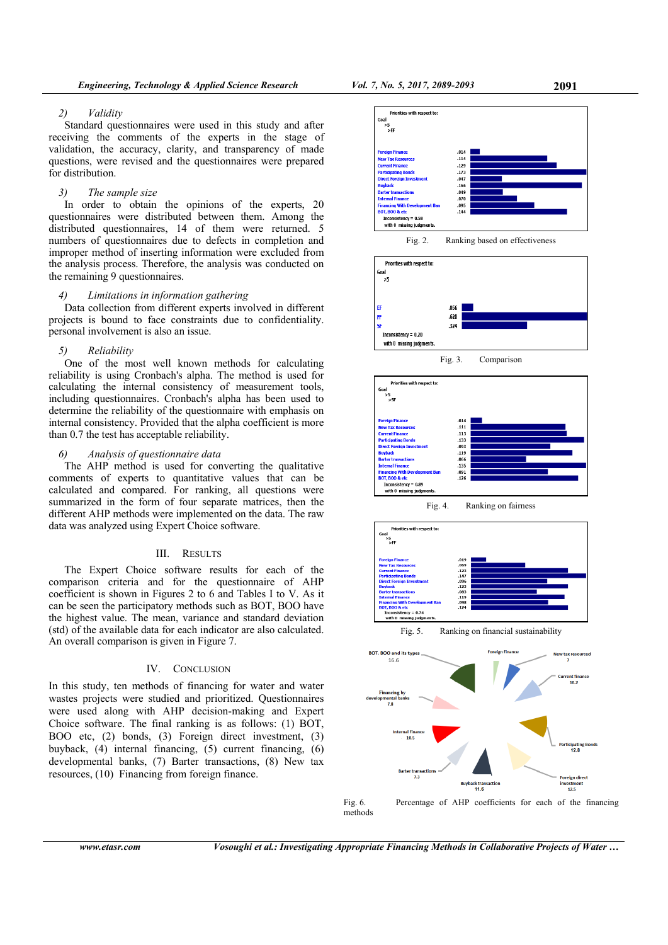Standard questionnaires were used in this study and after receiving the comments of the experts in the stage of validation, the accuracy, clarity, and transparency of made questions, were revised and the questionnaires were prepared for distribution.

# *3) The sample size*

In order to obtain the opinions of the experts, 20 questionnaires were distributed between them. Among the distributed questionnaires, 14 of them were returned. 5 numbers of questionnaires due to defects in completion and improper method of inserting information were excluded from the analysis process. Therefore, the analysis was conducted on the remaining 9 questionnaires.

## *4) Limitations in information gathering*

Data collection from different experts involved in different projects is bound to face constraints due to confidentiality. personal involvement is also an issue.

## *5) Reliability*

One of the most well known methods for calculating reliability is using Cronbach's alpha. The method is used for calculating the internal consistency of measurement tools, including questionnaires. Cronbach's alpha has been used to determine the reliability of the questionnaire with emphasis on internal consistency. Provided that the alpha coefficient is more than 0.7 the test has acceptable reliability.

# *6) Analysis of questionnaire data*

The AHP method is used for converting the qualitative comments of experts to quantitative values that can be calculated and compared. For ranking, all questions were summarized in the form of four separate matrices, then the different AHP methods were implemented on the data. The raw data was analyzed using Expert Choice software.

#### III. RESULTS

The Expert Choice software results for each of the comparison criteria and for the questionnaire of AHP coefficient is shown in Figures 2 to 6 and Tables I to V. As it can be seen the participatory methods such as BOT, BOO have the highest value. The mean, variance and standard deviation (std) of the available data for each indicator are also calculated. An overall comparison is given in Figure 7.

# IV. CONCLUSION

In this study, ten methods of financing for water and water wastes projects were studied and prioritized. Questionnaires were used along with AHP decision-making and Expert Choice software. The final ranking is as follows: (1) BOT, BOO etc, (2) bonds, (3) Foreign direct investment, (3) buyback, (4) internal financing, (5) current financing, (6) developmental banks, (7) Barter transactions, (8) New tax resources, (10) Financing from foreign finance.







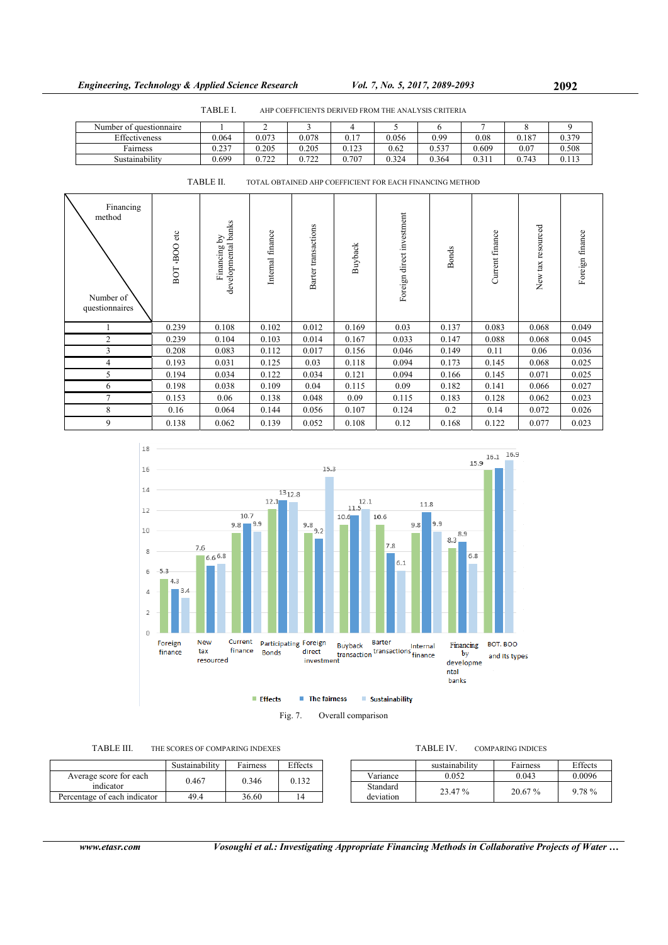|                         | TABLE I. | AHP COEFFICIENTS DERIVED FROM THE ANALYSIS CRITERIA |       |       |       |       |       |       |       |  |
|-------------------------|----------|-----------------------------------------------------|-------|-------|-------|-------|-------|-------|-------|--|
| Number of questionnaire |          |                                                     |       |       |       |       |       |       |       |  |
| Effectiveness           | 0.064    | 0.073                                               | 0.078 | 0.17  | 0.056 | 0.99  | 0.08  | 0.187 | 0.379 |  |
| Fairness                | 0.237    | 0.205                                               | 0.205 | 0.123 | 0.62  | 0.537 | 0.609 | 0.07  | 0.508 |  |
| Sustainabilitv          | 0.699    | 0.722                                               | 0.722 | 0.707 | 0.324 | 0.364 | 0.311 | 0.743 | 0.113 |  |

| Financing<br>method<br>Number of<br>questionnaires | etc<br>OOB,<br>BOT | developmental banks<br>Financing by | Internal finance | Barter transactions | Buyback | direct investment<br>Foreign | <b>Bonds</b> | Current finance | New tax resourced | Foreign finance |
|----------------------------------------------------|--------------------|-------------------------------------|------------------|---------------------|---------|------------------------------|--------------|-----------------|-------------------|-----------------|
|                                                    | 0.239              | 0.108                               | 0.102            | 0.012               | 0.169   | 0.03                         | 0.137        | 0.083           | 0.068             | 0.049           |
| 2                                                  | 0.239              | 0.104                               | 0.103            | 0.014               | 0.167   | 0.033                        | 0.147        | 0.088           | 0.068             | 0.045           |
| 3                                                  | 0.208              | 0.083                               | 0.112            | 0.017               | 0.156   | 0.046                        | 0.149        | 0.11            | 0.06              | 0.036           |
| 4                                                  | 0.193              | 0.031                               | 0.125            | 0.03                | 0.118   | 0.094                        | 0.173        | 0.145           | 0.068             | 0.025           |
| 5                                                  | 0.194              | 0.034                               | 0.122            | 0.034               | 0.121   | 0.094                        | 0.166        | 0.145           | 0.071             | 0.025           |
| 6                                                  | 0.198              | 0.038                               | 0.109            | 0.04                | 0.115   | 0.09                         | 0.182        | 0.141           | 0.066             | 0.027           |
| 7                                                  | 0.153              | 0.06                                | 0.138            | 0.048               | 0.09    | 0.115                        | 0.183        | 0.128           | 0.062             | 0.023           |
| 8                                                  | 0.16               | 0.064                               | 0.144            | 0.056               | 0.107   | 0.124                        | 0.2          | 0.14            | 0.072             | 0.026           |
| 9                                                  | 0.138              | 0.062                               | 0.139            | 0.052               | 0.108   | 0.12                         | 0.168        | 0.122           | 0.077             | 0.023           |

TABLE II. TOTAL OBTAINED AHP COEFFICIENT FOR EACH FINANCING METHOD



Sustainability Fairness Effects Average score for each  $0.467$  0.346 0.132 Percentage of each indicator 49.4 36.60 14

| TABLE IV. | <b>COMPARING INDICES</b> |
|-----------|--------------------------|
|           |                          |

|                       | sustainability | Fairness  | Effects |
|-----------------------|----------------|-----------|---------|
| Variance              | 0.052          | 0.043     | 0.0096  |
| Standard<br>deviation | 23.47 %        | $20.67\%$ | 9.78 %  |

*www.etasr.com Vosoughi et al.: Investigating Appropriate Financing Methods in Collaborative Projects of Water …*